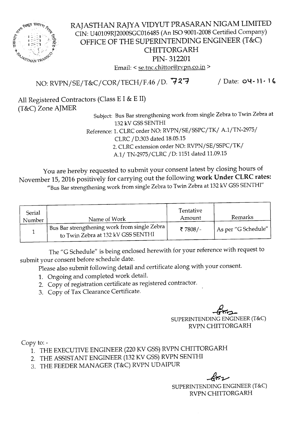

RAJASTHAN RAJYA VIDYUT PRASARAN NIGAM LIMITED CIN: U40l09RJ2000SGC016485(An ISO9001-2008Certified Company) OFFICE OF THE SUPERINTENDING ENGINEER (T&C) CHITTORGARH PIN- 312201 Email: < se.tnc.chittor@rvpn.co.in >

NO: RVPN/SE/T&C/COR/TECH/F.46 / D. 727 / Date: 04-11-16

All Registered Contractors (Class E I & E II) (T&C) Zone AJMER

Subject: Bus Bar strengthening work from single Zebra to Twin Zebra at 132 kV GSS SENTHI

Reference: 1. CLRC order NO: RVPN/SE/SSPC/TK/ A.l/TN-2975/ CLRC /D.303 dated 18.05.15

2. CLRC extension order NO: RVPN/SE/SSPC/TK/

A.l/ TN-2975/CLRC /D: 1151 dated 11.09.15

You are hereby requested to submit your consent latest by closing hours of November 15,2016 positively for carrying out the following work Under CLRC rates: "Bus Bar strengthening work from single Zebra to Twin Zebra at 132 kV GSS SENTHI"

| Serial<br>Number | Name of Work                                                                                     | Tentative<br>Amount | Remarks             |
|------------------|--------------------------------------------------------------------------------------------------|---------------------|---------------------|
|                  | <sup>1</sup> Bus Bar strengthening work from single Zebra,<br>to Twin Zebra at 132 kV GSS SENTHI | ₹7808/-             | As per "G Schedule" |

The "G Schedule" is being enclosed herewith for your reference with request to submit your consent before schedule date.

Please also submit following detail and certificate along with your consent.

- 1. Ongoing and completed work detail.
- 2. Copy of registration certificate as registered contractor.
- 3. Copy of Tax Clearance Certificate.

 $\overline{\phantom{a}}$ SUPERINTENDING ENGINEER (T&C) RVPNCHITTORGARH

Copy to:-

- 1. THE EXECUTIVE ENGINEER (220 KV GSS) RVPN CHITTORGARH
- 2. THE ASSISTANT ENGINEER (132 KV GSS) RVPN SENTHI
- 3. THE FEEDER MANAGER (T&C) RVPN UDAIPUR

 $\vec{G}$  $\approx$ SUPERINTENDING ENGINEER (T&C) RVPNCHITTORGARH